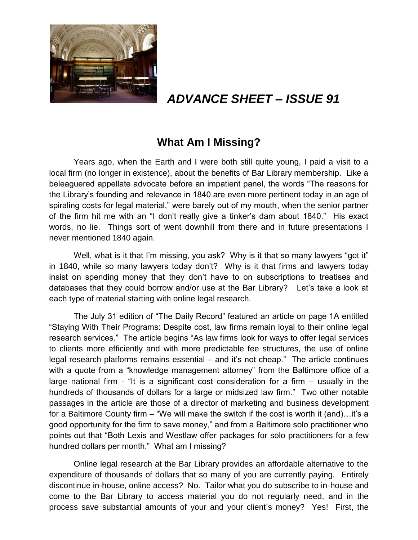

# *ADVANCE SHEET – ISSUE 91*

## **What Am I Missing?**

Years ago, when the Earth and I were both still quite young, I paid a visit to a local firm (no longer in existence), about the benefits of Bar Library membership. Like a beleaguered appellate advocate before an impatient panel, the words "The reasons for the Library's founding and relevance in 1840 are even more pertinent today in an age of spiraling costs for legal material," were barely out of my mouth, when the senior partner of the firm hit me with an "I don't really give a tinker's dam about 1840." His exact words, no lie. Things sort of went downhill from there and in future presentations I never mentioned 1840 again.

Well, what is it that I'm missing, you ask? Why is it that so many lawyers "got it" in 1840, while so many lawyers today don't? Why is it that firms and lawyers today insist on spending money that they don't have to on subscriptions to treatises and databases that they could borrow and/or use at the Bar Library? Let's take a look at each type of material starting with online legal research.

The July 31 edition of "The Daily Record" featured an article on page 1A entitled "Staying With Their Programs: Despite cost, law firms remain loyal to their online legal research services." The article begins "As law firms look for ways to offer legal services to clients more efficiently and with more predictable fee structures, the use of online legal research platforms remains essential – and it's not cheap." The article continues with a quote from a "knowledge management attorney" from the Baltimore office of a large national firm - "It is a significant cost consideration for a firm – usually in the hundreds of thousands of dollars for a large or midsized law firm." Two other notable passages in the article are those of a director of marketing and business development for a Baltimore County firm – "We will make the switch if the cost is worth it (and)…it's a good opportunity for the firm to save money," and from a Baltimore solo practitioner who points out that "Both Lexis and Westlaw offer packages for solo practitioners for a few hundred dollars per month." What am I missing?

Online legal research at the Bar Library provides an affordable alternative to the expenditure of thousands of dollars that so many of you are currently paying. Entirely discontinue in-house, online access? No. Tailor what you do subscribe to in-house and come to the Bar Library to access material you do not regularly need, and in the process save substantial amounts of your and your client's money? Yes! First, the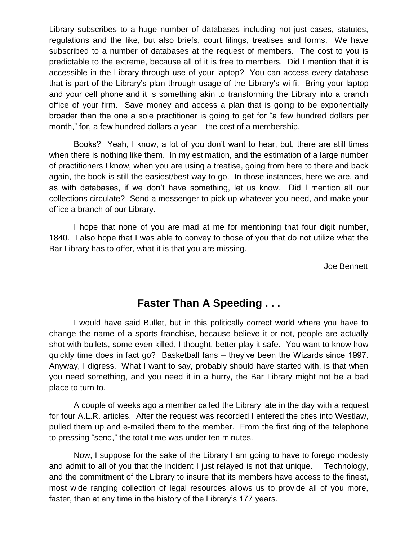Library subscribes to a huge number of databases including not just cases, statutes, regulations and the like, but also briefs, court filings, treatises and forms. We have subscribed to a number of databases at the request of members. The cost to you is predictable to the extreme, because all of it is free to members. Did I mention that it is accessible in the Library through use of your laptop? You can access every database that is part of the Library's plan through usage of the Library's wi-fi. Bring your laptop and your cell phone and it is something akin to transforming the Library into a branch office of your firm. Save money and access a plan that is going to be exponentially broader than the one a sole practitioner is going to get for "a few hundred dollars per month," for, a few hundred dollars a year – the cost of a membership.

Books? Yeah, I know, a lot of you don't want to hear, but, there are still times when there is nothing like them. In my estimation, and the estimation of a large number of practitioners I know, when you are using a treatise, going from here to there and back again, the book is still the easiest/best way to go. In those instances, here we are, and as with databases, if we don't have something, let us know. Did I mention all our collections circulate? Send a messenger to pick up whatever you need, and make your office a branch of our Library.

I hope that none of you are mad at me for mentioning that four digit number, 1840. I also hope that I was able to convey to those of you that do not utilize what the Bar Library has to offer, what it is that you are missing.

Joe Bennett

## **Faster Than A Speeding . . .**

I would have said Bullet, but in this politically correct world where you have to change the name of a sports franchise, because believe it or not, people are actually shot with bullets, some even killed, I thought, better play it safe. You want to know how quickly time does in fact go? Basketball fans – they've been the Wizards since 1997. Anyway, I digress. What I want to say, probably should have started with, is that when you need something, and you need it in a hurry, the Bar Library might not be a bad place to turn to.

A couple of weeks ago a member called the Library late in the day with a request for four A.L.R. articles. After the request was recorded I entered the cites into Westlaw, pulled them up and e-mailed them to the member. From the first ring of the telephone to pressing "send," the total time was under ten minutes.

Now, I suppose for the sake of the Library I am going to have to forego modesty and admit to all of you that the incident I just relayed is not that unique. Technology, and the commitment of the Library to insure that its members have access to the finest, most wide ranging collection of legal resources allows us to provide all of you more, faster, than at any time in the history of the Library's 177 years.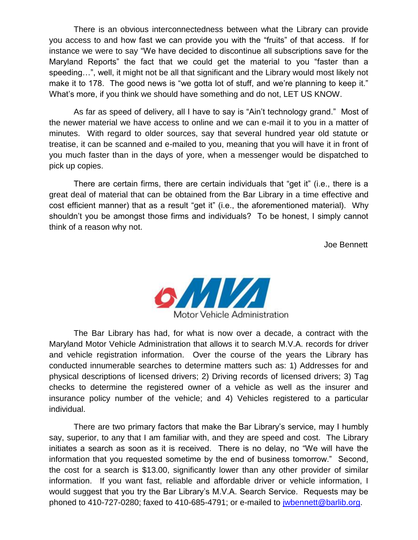There is an obvious interconnectedness between what the Library can provide you access to and how fast we can provide you with the "fruits" of that access. If for instance we were to say "We have decided to discontinue all subscriptions save for the Maryland Reports" the fact that we could get the material to you "faster than a speeding…", well, it might not be all that significant and the Library would most likely not make it to 178. The good news is "we gotta lot of stuff, and we're planning to keep it." What's more, if you think we should have something and do not, LET US KNOW.

As far as speed of delivery, all I have to say is "Ain't technology grand." Most of the newer material we have access to online and we can e-mail it to you in a matter of minutes. With regard to older sources, say that several hundred year old statute or treatise, it can be scanned and e-mailed to you, meaning that you will have it in front of you much faster than in the days of yore, when a messenger would be dispatched to pick up copies.

There are certain firms, there are certain individuals that "get it" (i.e., there is a great deal of material that can be obtained from the Bar Library in a time effective and cost efficient manner) that as a result "get it" (i.e., the aforementioned material). Why shouldn't you be amongst those firms and individuals? To be honest, I simply cannot think of a reason why not.

Joe Bennett



The Bar Library has had, for what is now over a decade, a contract with the Maryland Motor Vehicle Administration that allows it to search M.V.A. records for driver and vehicle registration information. Over the course of the years the Library has conducted innumerable searches to determine matters such as: 1) Addresses for and physical descriptions of licensed drivers; 2) Driving records of licensed drivers; 3) Tag checks to determine the registered owner of a vehicle as well as the insurer and insurance policy number of the vehicle; and 4) Vehicles registered to a particular individual.

There are two primary factors that make the Bar Library's service, may I humbly say, superior, to any that I am familiar with, and they are speed and cost. The Library initiates a search as soon as it is received. There is no delay, no "We will have the information that you requested sometime by the end of business tomorrow." Second, the cost for a search is \$13.00, significantly lower than any other provider of similar information. If you want fast, reliable and affordable driver or vehicle information, I would suggest that you try the Bar Library's M.V.A. Search Service. Requests may be phoned to 410-727-0280; faxed to 410-685-4791; or e-mailed to [jwbennett@barlib.org.](mailto:jwbennett@barlib.org)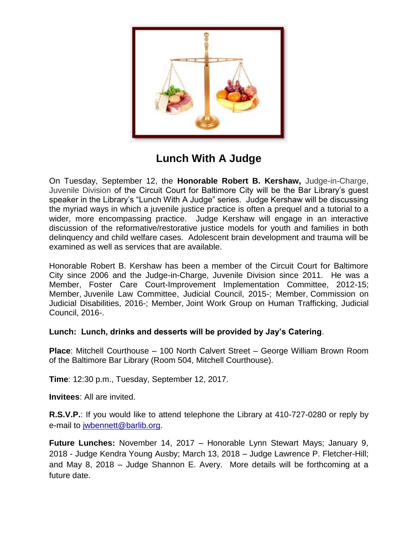

**Lunch With A Judge**

On Tuesday, September 12, the **Honorable Robert B. Kershaw,** Judge-in-Charge, Juvenile Division of the Circuit Court for Baltimore City will be the Bar Library's guest speaker in the Library's "Lunch With A Judge" series. Judge Kershaw will be discussing the myriad ways in which a juvenile justice practice is often a prequel and a tutorial to a wider, more encompassing practice. Judge Kershaw will engage in an interactive discussion of the reformative/restorative justice models for youth and families in both delinquency and child welfare cases. Adolescent brain development and trauma will be examined as well as services that are available.

Honorable Robert B. Kershaw has been a member of the Circuit Court for Baltimore City since 2006 and the Judge-in-Charge, Juvenile Division since 2011. He was a Member, Foster Care Court-Improvement Implementation Committee, 2012-15; Member, [Juvenile Law Committee,](http://msa.maryland.gov/msa/mdmanual/33jud/html/01conf.html#juvenile) Judicial Council, 2015-; Member, [Commission on](http://msa.maryland.gov/msa/mdmanual/26excom/html/22jdis.html)  [Judicial Disabilities,](http://msa.maryland.gov/msa/mdmanual/26excom/html/22jdis.html) 2016-; Member, [Joint Work Group on Human Trafficking,](http://msaweb/msa/mdmanual/33jud/html/01conf.html#trafficking) Judicial Council, 2016-.

### **Lunch: Lunch, drinks and desserts will be provided by Jay's Catering**.

**Place**: Mitchell Courthouse – 100 North Calvert Street – George William Brown Room of the Baltimore Bar Library (Room 504, Mitchell Courthouse).

**Time**: 12:30 p.m., Tuesday, September 12, 2017.

**Invitees**: All are invited.

**R.S.V.P.**: If you would like to attend telephone the Library at 410-727-0280 or reply by e-mail to [jwbennett@barlib.org.](mailto:jwbennett@barlib.org)

**Future Lunches:** November 14, 2017 – Honorable Lynn Stewart Mays; January 9, 2018 - Judge Kendra Young Ausby; March 13, 2018 – Judge Lawrence P. Fletcher-Hill; and May 8, 2018 – Judge Shannon E. Avery. More details will be forthcoming at a future date.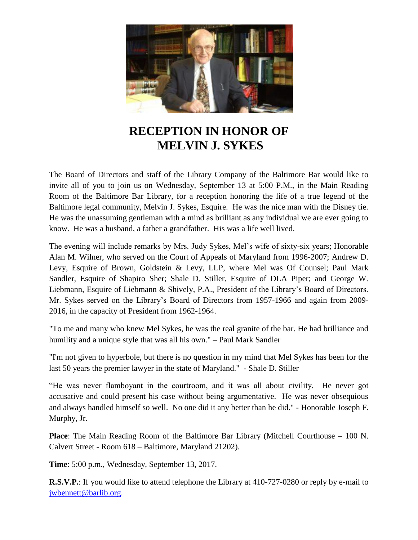

# **RECEPTION IN HONOR OF MELVIN J. SYKES**

The Board of Directors and staff of the Library Company of the Baltimore Bar would like to invite all of you to join us on Wednesday, September 13 at 5:00 P.M., in the Main Reading Room of the Baltimore Bar Library, for a reception honoring the life of a true legend of the Baltimore legal community, Melvin J. Sykes, Esquire. He was the nice man with the Disney tie. He was the unassuming gentleman with a mind as brilliant as any individual we are ever going to know. He was a husband, a father a grandfather. His was a life well lived.

The evening will include remarks by Mrs. Judy Sykes, Mel's wife of sixty-six years; Honorable Alan M. Wilner, who served on the Court of Appeals of Maryland from 1996-2007; Andrew D. Levy, Esquire of Brown, Goldstein & Levy, LLP, where Mel was Of Counsel; Paul Mark Sandler, Esquire of Shapiro Sher; Shale D. Stiller, Esquire of DLA Piper; and George W. Liebmann, Esquire of Liebmann & Shively, P.A., President of the Library's Board of Directors. Mr. Sykes served on the Library's Board of Directors from 1957-1966 and again from 2009- 2016, in the capacity of President from 1962-1964.

"To me and many who knew Mel Sykes, he was the real granite of the bar. He had brilliance and humility and a unique style that was all his own." – Paul Mark Sandler

"I'm not given to hyperbole, but there is no question in my mind that Mel Sykes has been for the last 50 years the premier lawyer in the state of Maryland." - Shale D. Stiller

"He was never flamboyant in the courtroom, and it was all about civility. He never got accusative and could present his case without being argumentative. He was never obsequious and always handled himself so well. No one did it any better than he did." - Honorable Joseph F. Murphy, Jr.

**Place**: The Main Reading Room of the Baltimore Bar Library (Mitchell Courthouse – 100 N. Calvert Street - Room 618 – Baltimore, Maryland 21202).

**Time**: 5:00 p.m., Wednesday, September 13, 2017.

**R.S.V.P.**: If you would like to attend telephone the Library at 410-727-0280 or reply by e-mail to [jwbennett@barlib.org.](mailto:jwbennett@barlib.org)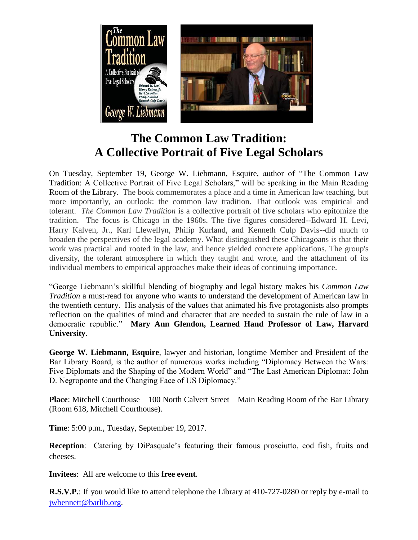

# **The Common Law Tradition: A Collective Portrait of Five Legal Scholars**

On Tuesday, September 19, George W. Liebmann, Esquire, author of "The Common Law Tradition: A Collective Portrait of Five Legal Scholars," will be speaking in the Main Reading Room of the Library. The book commemorates a place and a time in American law teaching, but more importantly, an outlook: the common law tradition. That outlook was empirical and tolerant. *The Common Law Tradition* is a collective portrait of five scholars who epitomize the tradition. The focus is Chicago in the 1960s. The five figures considered--Edward H. Levi, Harry Kalven, Jr., Karl Llewellyn, Philip Kurland, and Kenneth Culp Davis--did much to broaden the perspectives of the legal academy. What distinguished these Chicagoans is that their work was practical and rooted in the law, and hence yielded concrete applications. The group's diversity, the tolerant atmosphere in which they taught and wrote, and the attachment of its individual members to empirical approaches make their ideas of continuing importance.

"George Liebmann's skillful blending of biography and legal history makes his *Common Law Tradition* a must-read for anyone who wants to understand the development of American law in the twentieth century. His analysis of the values that animated his five protagonists also prompts reflection on the qualities of mind and character that are needed to sustain the rule of law in a democratic republic." **Mary Ann Glendon, Learned Hand Professor of Law, Harvard University**.

**George W. Liebmann, Esquire**, lawyer and historian, longtime Member and President of the Bar Library Board, is the author of numerous works including "Diplomacy Between the Wars: Five Diplomats and the Shaping of the Modern World" and "The Last American Diplomat: John D. Negroponte and the Changing Face of US Diplomacy."

**Place**: Mitchell Courthouse – 100 North Calvert Street – Main Reading Room of the Bar Library (Room 618, Mitchell Courthouse).

**Time**: 5:00 p.m., Tuesday, September 19, 2017.

**Reception**: Catering by DiPasquale's featuring their famous prosciutto, cod fish, fruits and cheeses.

**Invitees**: All are welcome to this **free event**.

**R.S.V.P.**: If you would like to attend telephone the Library at 410-727-0280 or reply by e-mail to [jwbennett@barlib.org.](mailto:jwbennett@barlib.org)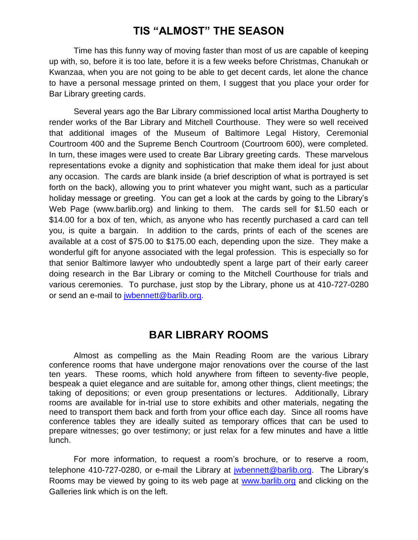## **TIS "ALMOST" THE SEASON**

Time has this funny way of moving faster than most of us are capable of keeping up with, so, before it is too late, before it is a few weeks before Christmas, Chanukah or Kwanzaa, when you are not going to be able to get decent cards, let alone the chance to have a personal message printed on them, I suggest that you place your order for Bar Library greeting cards.

Several years ago the Bar Library commissioned local artist Martha Dougherty to render works of the Bar Library and Mitchell Courthouse. They were so well received that additional images of the Museum of Baltimore Legal History, Ceremonial Courtroom 400 and the Supreme Bench Courtroom (Courtroom 600), were completed. In turn, these images were used to create Bar Library greeting cards. These marvelous representations evoke a dignity and sophistication that make them ideal for just about any occasion. The cards are blank inside (a brief description of what is portrayed is set forth on the back), allowing you to print whatever you might want, such as a particular holiday message or greeting. You can get a look at the cards by going to the Library's Web Page (www.barlib.org) and linking to them. The cards sell for \$1.50 each or \$14.00 for a box of ten, which, as anyone who has recently purchased a card can tell you, is quite a bargain. In addition to the cards, prints of each of the scenes are available at a cost of \$75.00 to \$175.00 each, depending upon the size. They make a wonderful gift for anyone associated with the legal profession. This is especially so for that senior Baltimore lawyer who undoubtedly spent a large part of their early career doing research in the Bar Library or coming to the Mitchell Courthouse for trials and various ceremonies. To purchase, just stop by the Library, phone us at 410-727-0280 or send an e-mail to [jwbennett@barlib.org.](mailto:jwbennett@barlib.org)

## **BAR LIBRARY ROOMS**

Almost as compelling as the Main Reading Room are the various Library conference rooms that have undergone major renovations over the course of the last ten years. These rooms, which hold anywhere from fifteen to seventy-five people, bespeak a quiet elegance and are suitable for, among other things, client meetings; the taking of depositions; or even group presentations or lectures. Additionally, Library rooms are available for in-trial use to store exhibits and other materials, negating the need to transport them back and forth from your office each day. Since all rooms have conference tables they are ideally suited as temporary offices that can be used to prepare witnesses; go over testimony; or just relax for a few minutes and have a little lunch.

For more information, to request a room's brochure, or to reserve a room, telephone 410-727-0280, or e-mail the Library at [jwbennett@barlib.org.](mailto:jwbennett@barlib.org) The Library's Rooms may be viewed by going to its web page at [www.barlib.org](http://www.barlib.org/) and clicking on the Galleries link which is on the left.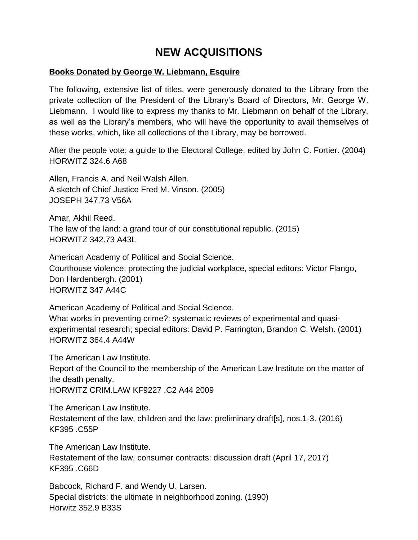## **NEW ACQUISITIONS**

#### **Books Donated by George W. Liebmann, Esquire**

The following, extensive list of titles, were generously donated to the Library from the private collection of the President of the Library's Board of Directors, Mr. George W. Liebmann. I would like to express my thanks to Mr. Liebmann on behalf of the Library, as well as the Library's members, who will have the opportunity to avail themselves of these works, which, like all collections of the Library, may be borrowed.

After the people vote: a guide to the Electoral College, edited by John C. Fortier. (2004) HORWITZ 324.6 A68

Allen, Francis A. and Neil Walsh Allen. A sketch of Chief Justice Fred M. Vinson. (2005) JOSEPH 347.73 V56A

Amar, Akhil Reed. The law of the land: a grand tour of our constitutional republic. (2015) HORWITZ 342.73 A43L

American Academy of Political and Social Science. Courthouse violence: protecting the judicial workplace, special editors: Victor Flango, Don Hardenbergh. (2001) HORWITZ 347 A44C

American Academy of Political and Social Science. What works in preventing crime?: systematic reviews of experimental and quasiexperimental research; special editors: David P. Farrington, Brandon C. Welsh. (2001) HORWITZ 364.4 A44W

The American Law Institute. Report of the Council to the membership of the American Law Institute on the matter of the death penalty. HORWITZ CRIM.LAW KF9227 .C2 A44 2009

The American Law Institute. Restatement of the law, children and the law: preliminary draft[s], nos.1-3. (2016) KF395 .C55P

The American Law Institute. Restatement of the law, consumer contracts: discussion draft (April 17, 2017) KF395 .C66D

Babcock, Richard F. and Wendy U. Larsen. Special districts: the ultimate in neighborhood zoning. (1990) Horwitz 352.9 B33S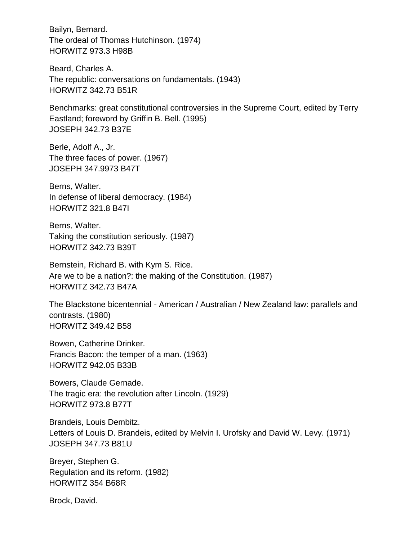Bailyn, Bernard. The ordeal of Thomas Hutchinson. (1974) HORWITZ 973.3 H98B

Beard, Charles A. The republic: conversations on fundamentals. (1943) HORWITZ 342.73 B51R

Benchmarks: great constitutional controversies in the Supreme Court, edited by Terry Eastland; foreword by Griffin B. Bell. (1995) JOSEPH 342.73 B37E

Berle, Adolf A., Jr. The three faces of power. (1967) JOSEPH 347.9973 B47T

Berns, Walter. In defense of liberal democracy. (1984) HORWITZ 321.8 B47I

Berns, Walter. Taking the constitution seriously. (1987) HORWITZ 342.73 B39T

Bernstein, Richard B. with Kym S. Rice. Are we to be a nation?: the making of the Constitution. (1987) HORWITZ 342.73 B47A

The Blackstone bicentennial - American / Australian / New Zealand law: parallels and contrasts. (1980) HORWITZ 349.42 B58

Bowen, Catherine Drinker. Francis Bacon: the temper of a man. (1963) HORWITZ 942.05 B33B

Bowers, Claude Gernade. The tragic era: the revolution after Lincoln. (1929) HORWITZ 973.8 B77T

Brandeis, Louis Dembitz. Letters of Louis D. Brandeis, edited by Melvin I. Urofsky and David W. Levy. (1971) JOSEPH 347.73 B81U

Breyer, Stephen G. Regulation and its reform. (1982) HORWITZ 354 B68R

Brock, David.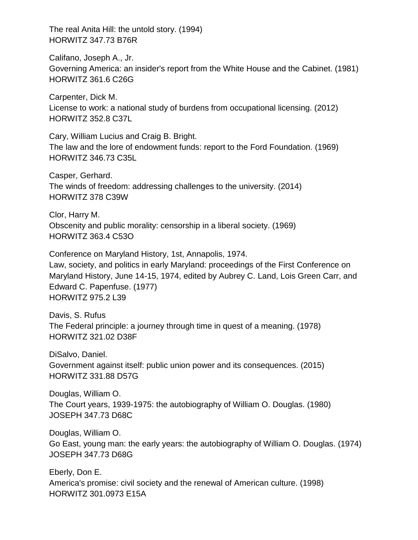The real Anita Hill: the untold story. (1994) HORWITZ 347.73 B76R

Califano, Joseph A., Jr. Governing America: an insider's report from the White House and the Cabinet. (1981) HORWITZ 361.6 C26G

Carpenter, Dick M. License to work: a national study of burdens from occupational licensing. (2012) HORWITZ 352.8 C37L

Cary, William Lucius and Craig B. Bright. The law and the lore of endowment funds: report to the Ford Foundation. (1969) HORWITZ 346.73 C35L

Casper, Gerhard. The winds of freedom: addressing challenges to the university. (2014) HORWITZ 378 C39W

Clor, Harry M. Obscenity and public morality: censorship in a liberal society. (1969) HORWITZ 363.4 C53O

Conference on Maryland History, 1st, Annapolis, 1974. Law, society, and politics in early Maryland: proceedings of the First Conference on Maryland History, June 14-15, 1974, edited by Aubrey C. Land, Lois Green Carr, and Edward C. Papenfuse. (1977) HORWITZ 975.2 L39

Davis, S. Rufus The Federal principle: a journey through time in quest of a meaning. (1978) HORWITZ 321.02 D38F

DiSalvo, Daniel. Government against itself: public union power and its consequences. (2015) HORWITZ 331.88 D57G

Douglas, William O. The Court years, 1939-1975: the autobiography of William O. Douglas. (1980) JOSEPH 347.73 D68C

Douglas, William O. Go East, young man: the early years: the autobiography of William O. Douglas. (1974) JOSEPH 347.73 D68G

Eberly, Don E. America's promise: civil society and the renewal of American culture. (1998) HORWITZ 301.0973 E15A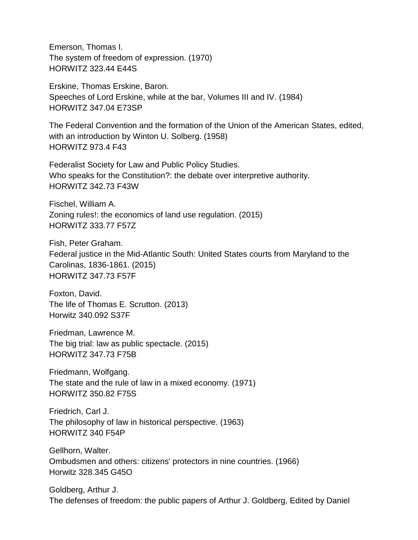Emerson, Thomas I. The system of freedom of expression. (1970) HORWITZ 323.44 E44S

Erskine, Thomas Erskine, Baron. Speeches of Lord Erskine, while at the bar, Volumes III and IV. (1984) HORWITZ 347.04 E73SP

The Federal Convention and the formation of the Union of the American States, edited, with an introduction by Winton U. Solberg. (1958) HORWITZ 973.4 F43

Federalist Society for Law and Public Policy Studies. Who speaks for the Constitution?: the debate over interpretive authority. HORWITZ 342.73 F43W

Fischel, William A. Zoning rules!: the economics of land use regulation. (2015) HORWITZ 333.77 F57Z

Fish, Peter Graham. Federal justice in the Mid-Atlantic South: United States courts from Maryland to the Carolinas, 1836-1861. (2015) HORWITZ 347.73 F57F

Foxton, David. The life of Thomas E. Scrutton. (2013) Horwitz 340.092 S37F

Friedman, Lawrence M. The big trial: law as public spectacle. (2015) HORWITZ 347.73 F75B

Friedmann, Wolfgang. The state and the rule of law in a mixed economy. (1971) HORWITZ 350.82 F75S

Friedrich, Carl J. The philosophy of law in historical perspective. (1963) HORWITZ 340 F54P

Gellhorn, Walter. Ombudsmen and others: citizens' protectors in nine countries. (1966) Horwitz 328.345 G45O

Goldberg, Arthur J. The defenses of freedom: the public papers of Arthur J. Goldberg, Edited by Daniel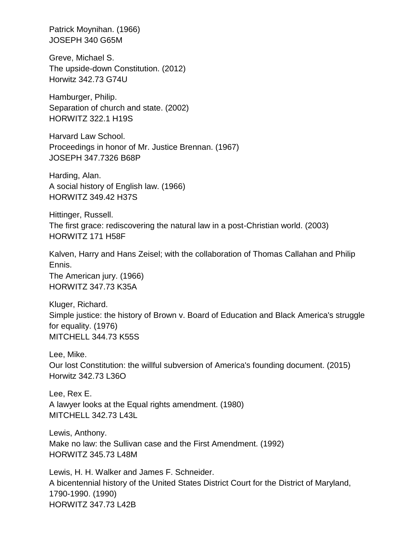Patrick Moynihan. (1966) JOSEPH 340 G65M

Greve, Michael S. The upside-down Constitution. (2012) Horwitz 342.73 G74U

Hamburger, Philip. Separation of church and state. (2002) HORWITZ 322.1 H19S

Harvard Law School. Proceedings in honor of Mr. Justice Brennan. (1967) JOSEPH 347.7326 B68P

Harding, Alan. A social history of English law. (1966) HORWITZ 349.42 H37S

Hittinger, Russell. The first grace: rediscovering the natural law in a post-Christian world. (2003) HORWITZ 171 H58F

Kalven, Harry and Hans Zeisel; with the collaboration of Thomas Callahan and Philip Ennis. The American jury. (1966) HORWITZ 347.73 K35A

Kluger, Richard. Simple justice: the history of Brown v. Board of Education and Black America's struggle for equality. (1976) MITCHELL 344.73 K55S

Lee, Mike. Our lost Constitution: the willful subversion of America's founding document. (2015) Horwitz 342.73 L36O

Lee, Rex E. A lawyer looks at the Equal rights amendment. (1980) MITCHELL 342.73 L43L

Lewis, Anthony. Make no law: the Sullivan case and the First Amendment. (1992) HORWITZ 345.73 L48M

Lewis, H. H. Walker and James F. Schneider. A bicentennial history of the United States District Court for the District of Maryland, 1790-1990. (1990) HORWITZ 347.73 L42B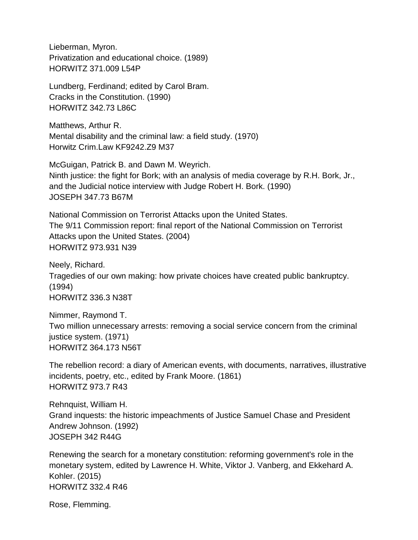Lieberman, Myron. Privatization and educational choice. (1989) HORWITZ 371.009 L54P

Lundberg, Ferdinand; edited by Carol Bram. Cracks in the Constitution. (1990) HORWITZ 342.73 L86C

Matthews, Arthur R. Mental disability and the criminal law: a field study. (1970) Horwitz Crim.Law KF9242.Z9 M37

McGuigan, Patrick B. and Dawn M. Weyrich. Ninth justice: the fight for Bork; with an analysis of media coverage by R.H. Bork, Jr., and the Judicial notice interview with Judge Robert H. Bork. (1990) JOSEPH 347.73 B67M

National Commission on Terrorist Attacks upon the United States. The 9/11 Commission report: final report of the National Commission on Terrorist Attacks upon the United States. (2004) HORWITZ 973.931 N39

Neely, Richard. Tragedies of our own making: how private choices have created public bankruptcy. (1994) HORWITZ 336.3 N38T

Nimmer, Raymond T. Two million unnecessary arrests: removing a social service concern from the criminal justice system. (1971) HORWITZ 364.173 N56T

The rebellion record: a diary of American events, with documents, narratives, illustrative incidents, poetry, etc., edited by Frank Moore. (1861) HORWITZ 973.7 R43

Rehnquist, William H. Grand inquests: the historic impeachments of Justice Samuel Chase and President Andrew Johnson. (1992) JOSEPH 342 R44G

Renewing the search for a monetary constitution: reforming government's role in the monetary system, edited by Lawrence H. White, Viktor J. Vanberg, and Ekkehard A. Kohler. (2015) HORWITZ 332.4 R46

Rose, Flemming.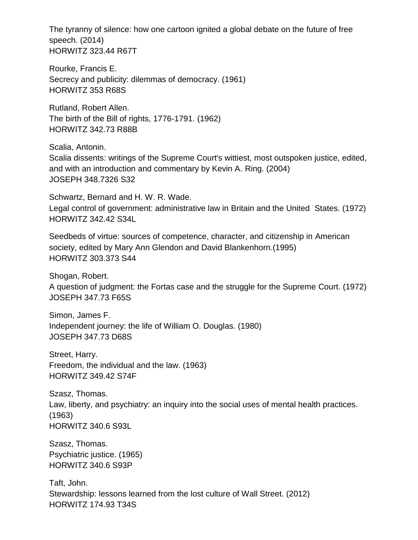The tyranny of silence: how one cartoon ignited a global debate on the future of free speech. (2014) HORWITZ 323.44 R67T

Rourke, Francis E. Secrecy and publicity: dilemmas of democracy. (1961) HORWITZ 353 R68S

Rutland, Robert Allen. The birth of the Bill of rights, 1776-1791. (1962) HORWITZ 342.73 R88B

Scalia, Antonin. Scalia dissents: writings of the Supreme Court's wittiest, most outspoken justice, edited, and with an introduction and commentary by Kevin A. Ring. (2004) JOSEPH 348.7326 S32

Schwartz, Bernard and H. W. R. Wade. Legal control of government: administrative law in Britain and the United States. (1972) HORWITZ 342.42 S34L

Seedbeds of virtue: sources of competence, character, and citizenship in American society, edited by Mary Ann Glendon and David Blankenhorn.(1995) HORWITZ 303.373 S44

Shogan, Robert. A question of judgment: the Fortas case and the struggle for the Supreme Court. (1972) JOSEPH 347.73 F65S

Simon, James F. Independent journey: the life of William O. Douglas. (1980) JOSEPH 347.73 D68S

Street, Harry. Freedom, the individual and the law. (1963) HORWITZ 349.42 S74F

Szasz, Thomas. Law, liberty, and psychiatry: an inquiry into the social uses of mental health practices. (1963) HORWITZ 340.6 S93L

Szasz, Thomas. Psychiatric justice. (1965) HORWITZ 340.6 S93P

Taft, John. Stewardship: lessons learned from the lost culture of Wall Street. (2012) HORWITZ 174.93 T34S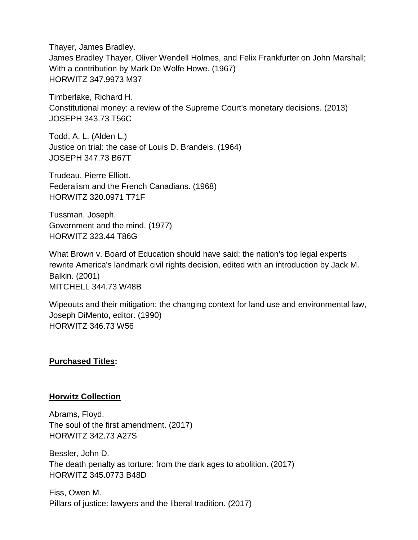Thayer, James Bradley. James Bradley Thayer, Oliver Wendell Holmes, and Felix Frankfurter on John Marshall; With a contribution by Mark De Wolfe Howe. (1967) HORWITZ 347.9973 M37

Timberlake, Richard H. Constitutional money: a review of the Supreme Court's monetary decisions. (2013) JOSEPH 343.73 T56C

Todd, A. L. (Alden L.) Justice on trial: the case of Louis D. Brandeis. (1964) JOSEPH 347.73 B67T

Trudeau, Pierre Elliott. Federalism and the French Canadians. (1968) HORWITZ 320.0971 T71F

Tussman, Joseph. Government and the mind. (1977) HORWITZ 323.44 T86G

What Brown v. Board of Education should have said: the nation's top legal experts rewrite America's landmark civil rights decision, edited with an introduction by Jack M. Balkin. (2001) MITCHELL 344.73 W48B

Wipeouts and their mitigation: the changing context for land use and environmental law, Joseph DiMento, editor. (1990) HORWITZ 346.73 W56

#### **Purchased Titles:**

#### **Horwitz Collection**

Abrams, Floyd. The soul of the first amendment. (2017) HORWITZ 342.73 A27S

Bessler, John D. The death penalty as torture: from the dark ages to abolition. (2017) HORWITZ 345.0773 B48D

Fiss, Owen M. Pillars of justice: lawyers and the liberal tradition. (2017)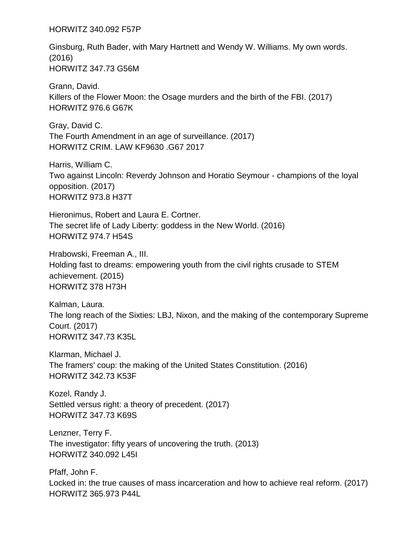HORWITZ 340.092 F57P

Ginsburg, Ruth Bader, with Mary Hartnett and Wendy W. Williams. My own words. (2016) HORWITZ 347.73 G56M

Grann, David. Killers of the Flower Moon: the Osage murders and the birth of the FBI. (2017) HORWITZ 976.6 G67K

Gray, David C. The Fourth Amendment in an age of surveillance. (2017) HORWITZ CRIM. LAW KF9630 .G67 2017

Harris, William C. Two against Lincoln: Reverdy Johnson and Horatio Seymour - champions of the loyal opposition. (2017) HORWITZ 973.8 H37T

Hieronimus, Robert and Laura E. Cortner. The secret life of Lady Liberty: goddess in the New World. (2016) HORWITZ 974.7 H54S

Hrabowski, Freeman A., III. Holding fast to dreams: empowering youth from the civil rights crusade to STEM achievement. (2015) HORWITZ 378 H73H

Kalman, Laura. The long reach of the Sixties: LBJ, Nixon, and the making of the contemporary Supreme Court. (2017) HORWITZ 347.73 K35L

Klarman, Michael J. The framers' coup: the making of the United States Constitution. (2016) HORWITZ 342.73 K53F

Kozel, Randy J. Settled versus right: a theory of precedent. (2017) HORWITZ 347.73 K69S

Lenzner, Terry F. The investigator: fifty years of uncovering the truth. (2013) HORWITZ 340.092 L45I

Pfaff, John F. Locked in: the true causes of mass incarceration and how to achieve real reform. (2017) HORWITZ 365.973 P44L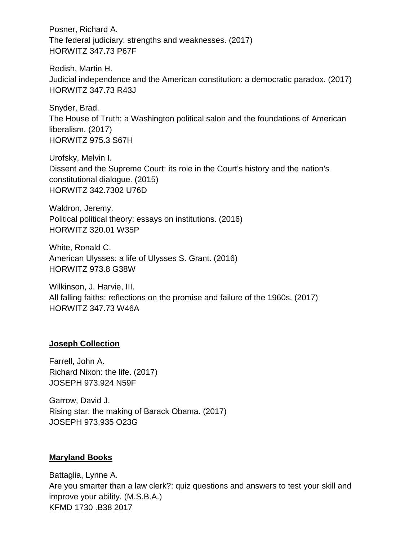Posner, Richard A. The federal judiciary: strengths and weaknesses. (2017) HORWITZ 347.73 P67F

Redish, Martin H. Judicial independence and the American constitution: a democratic paradox. (2017) HORWITZ 347.73 R43J

Snyder, Brad. The House of Truth: a Washington political salon and the foundations of American liberalism. (2017) HORWITZ 975.3 S67H

Urofsky, Melvin I. Dissent and the Supreme Court: its role in the Court's history and the nation's constitutional dialogue. (2015) HORWITZ 342.7302 U76D

Waldron, Jeremy. Political political theory: essays on institutions. (2016) HORWITZ 320.01 W35P

White, Ronald C. American Ulysses: a life of Ulysses S. Grant. (2016) HORWITZ 973.8 G38W

Wilkinson, J. Harvie, III. All falling faiths: reflections on the promise and failure of the 1960s. (2017) HORWITZ 347.73 W46A

#### **Joseph Collection**

Farrell, John A. Richard Nixon: the life. (2017) JOSEPH 973.924 N59F

Garrow, David J. Rising star: the making of Barack Obama. (2017) JOSEPH 973.935 O23G

#### **Maryland Books**

Battaglia, Lynne A. Are you smarter than a law clerk?: quiz questions and answers to test your skill and improve your ability. (M.S.B.A.) KFMD 1730 .B38 2017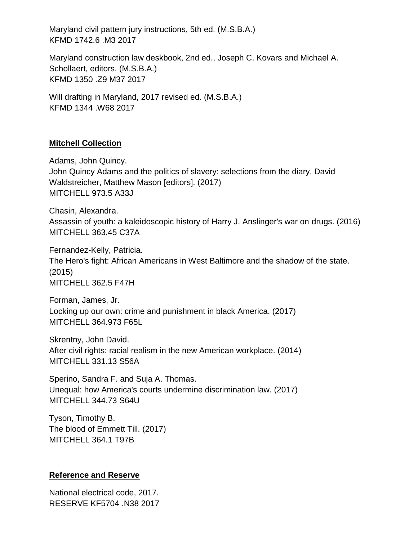Maryland civil pattern jury instructions, 5th ed. (M.S.B.A.) KFMD 1742.6 .M3 2017

Maryland construction law deskbook, 2nd ed., Joseph C. Kovars and Michael A. Schollaert, editors. (M.S.B.A.) KFMD 1350 .Z9 M37 2017

Will drafting in Maryland, 2017 revised ed. (M.S.B.A.) KFMD 1344 .W68 2017

#### **Mitchell Collection**

Adams, John Quincy. John Quincy Adams and the politics of slavery: selections from the diary, David Waldstreicher, Matthew Mason [editors]. (2017) MITCHELL 973.5 A33J

Chasin, Alexandra. Assassin of youth: a kaleidoscopic history of Harry J. Anslinger's war on drugs. (2016) MITCHELL 363.45 C37A

Fernandez-Kelly, Patricia. The Hero's fight: African Americans in West Baltimore and the shadow of the state. (2015) MITCHELL 362.5 F47H

Forman, James, Jr. Locking up our own: crime and punishment in black America. (2017) MITCHELL 364.973 F65L

Skrentny, John David. After civil rights: racial realism in the new American workplace. (2014) MITCHELL 331.13 S56A

Sperino, Sandra F. and Suja A. Thomas. Unequal: how America's courts undermine discrimination law. (2017) MITCHELL 344.73 S64U

Tyson, Timothy B. The blood of Emmett Till. (2017) MITCHELL 364.1 T97B

### **Reference and Reserve**

National electrical code, 2017. RESERVE KF5704 .N38 2017